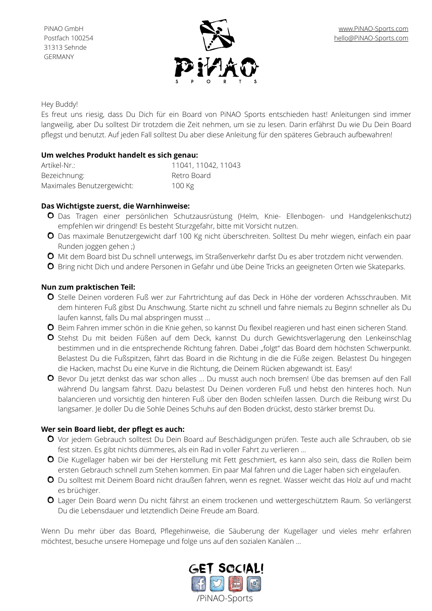

### Hey Buddy!

Es freut uns riesig, dass Du Dich für ein Board von PiNAO Sports entschieden hast! Anleitungen sind immer langweilig, aber Du solltest Dir trotzdem die Zeit nehmen, um sie zu lesen. Darin erfährst Du wie Du Dein Board pflegst und benutzt. Auf jeden Fall solltest Du aber diese Anleitung für den späteres Gebrauch aufbewahren!

## **Um welches Produkt handelt es sich genau:**

| Artikel-Nr.:               | 11041, 11042, 11043 |
|----------------------------|---------------------|
| Bezeichnung:               | Retro Board         |
| Maximales Benutzergewicht: | $100$ Kg            |

## **Das Wichtigste zuerst, die Warnhinweise:**

- O Das Tragen einer persönlichen Schutzausrüstung (Helm, Knie- Ellenbogen- und Handgelenkschutz) empfehlen wir dringend! Es besteht Sturzgefahr, bitte mit Vorsicht nutzen.
- Das maximale Benutzergewicht darf 100 Kg nicht überschreiten. Solltest Du mehr wiegen, einfach ein paar Runden joggen gehen ;)
- **O** Mit dem Board bist Du schnell unterwegs, im Straßenverkehr darfst Du es aber trotzdem nicht verwenden.
- **O** Bring nicht Dich und andere Personen in Gefahr und übe Deine Tricks an geeigneten Orten wie Skateparks.

## **Nun zum praktischen Teil:**

- O Stelle Deinen vorderen Fuß wer zur Fahrtrichtung auf das Deck in Höhe der vorderen Achsschrauben. Mit dem hinteren Fuß gibst Du Anschwung. Starte nicht zu schnell und fahre niemals zu Beginn schneller als Du laufen kannst, falls Du mal abspringen musst …
- **O** Beim Fahren immer schön in die Knie gehen, so kannst Du flexibel reagieren und hast einen sicheren Stand.
- O Stehst Du mit beiden Füßen auf dem Deck, kannst Du durch Gewichtsverlagerung den Lenkeinschlag bestimmen und in die entsprechende Richtung fahren. Dabei "folgt" das Board dem höchsten Schwerpunkt. Belastest Du die Fußspitzen, fährt das Board in die Richtung in die die Füße zeigen. Belastest Du hingegen die Hacken, machst Du eine Kurve in die Richtung, die Deinem Rücken abgewandt ist. Easy!
- Bevor Du jetzt denkst das war schon alles … Du musst auch noch bremsen! Übe das bremsen auf den Fall während Du langsam fährst. Dazu belastest Du Deinen vorderen Fuß und hebst den hinteres hoch. Nun balancieren und vorsichtig den hinteren Fuß über den Boden schleifen lassen. Durch die Reibung wirst Du langsamer. Je doller Du die Sohle Deines Schuhs auf den Boden drückst, desto stärker bremst Du.

#### **Wer sein Board liebt, der pflegt es auch:**

- Vor jedem Gebrauch solltest Du Dein Board auf Beschädigungen prüfen. Teste auch alle Schrauben, ob sie fest sitzen. Es gibt nichts dümmeres, als ein Rad in voller Fahrt zu verlieren …
- Die Kugellager haben wir bei der Herstellung mit Fett geschmiert, es kann also sein, dass die Rollen beim ersten Gebrauch schnell zum Stehen kommen. Ein paar Mal fahren und die Lager haben sich eingelaufen.
- Du solltest mit Deinem Board nicht draußen fahren, wenn es regnet. Wasser weicht das Holz auf und macht es brüchiger.
- O Lager Dein Board wenn Du nicht fährst an einem trockenen und wettergeschütztem Raum. So verlängerst Du die Lebensdauer und letztendlich Deine Freude am Board.

Wenn Du mehr über das Board, Pflegehinweise, die Säuberung der Kugellager und vieles mehr erfahren möchtest, besuche unsere Homepage und folge uns auf den sozialen Kanälen …